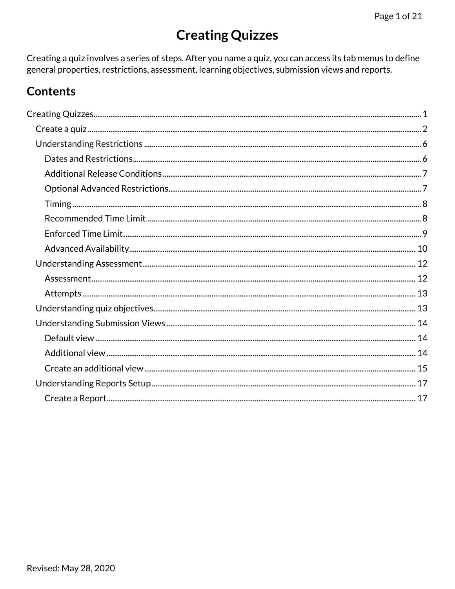# **Creating Quizzes**

<span id="page-0-0"></span>Creating a quiz involves a series of steps. After you name a quiz, you can access its tab menus to define general properties, restrictions, assessment, learning objectives, submission views and reports.

## **Contents**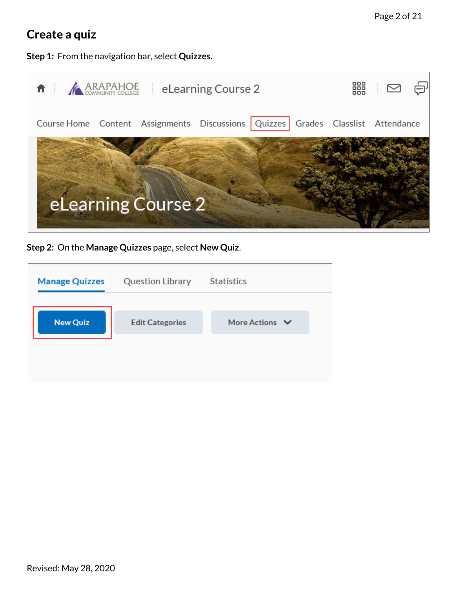## <span id="page-1-0"></span>**Create a quiz**

**Step 1:** From the navigation bar, select **Quizzes.**



**Step 2:** On the **Manage Quizzes** page, select **New Quiz**.

| <b>Manage Quizzes</b> | <b>Question Library</b> | <b>Statistics</b>   |  |
|-----------------------|-------------------------|---------------------|--|
| <b>New Quiz</b>       | <b>Edit Categories</b>  | More Actions $\vee$ |  |
|                       |                         |                     |  |
|                       |                         |                     |  |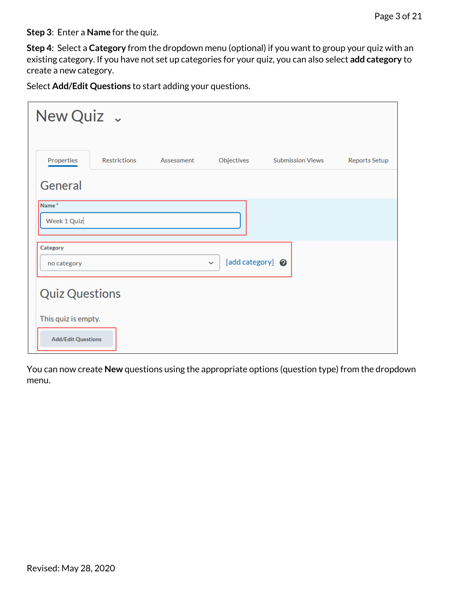**Step 3**: Enter a **Name** for the quiz.

**Step 4**: Select a **Category** from the dropdown menu (optional) if you want to group your quiz with an existing category. If you have not set up categories for your quiz, you can also select **add category** to create a new category.

Select **Add/Edit Questions** to start adding your questions.

| New Quiz v                                       |                     |            |                                  |                         |                      |
|--------------------------------------------------|---------------------|------------|----------------------------------|-------------------------|----------------------|
| Properties                                       | <b>Restrictions</b> | Assessment | Objectives                       | <b>Submission Views</b> | <b>Reports Setup</b> |
| General                                          |                     |            |                                  |                         |                      |
| Name <sup>*</sup><br>Week 1 Quiz                 |                     |            |                                  |                         |                      |
| Category<br>no category                          |                     |            | [add category] @<br>$\checkmark$ |                         |                      |
| <b>Quiz Questions</b>                            |                     |            |                                  |                         |                      |
| This quiz is empty.<br><b>Add/Edit Questions</b> |                     |            |                                  |                         |                      |

You can now create **New** questions using the appropriate options (question type) from the dropdown menu.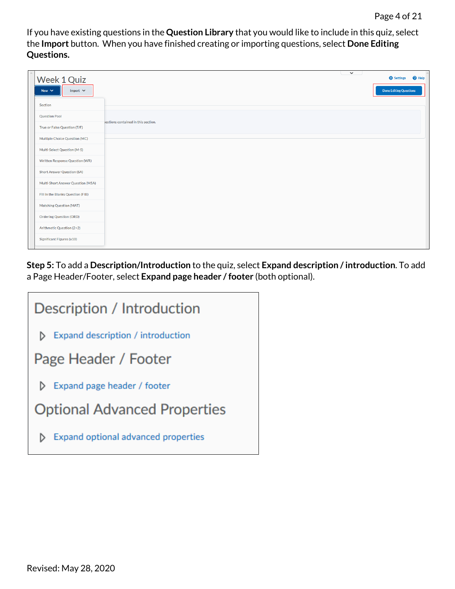If you have existing questions in the **Question Library** that you would like to include in this quiz, select the **Import** button. When you have finished creating or importing questions, select **Done Editing Questions.**

| $\wedge$ | Week 1 Quiz<br>Import $\vee$<br>New $\vee$ |                                     | $\checkmark$ | $\bigcirc$ Help<br><b>C</b> Settings<br><b>Done Editing Questions</b> |
|----------|--------------------------------------------|-------------------------------------|--------------|-----------------------------------------------------------------------|
|          | Section                                    |                                     |              |                                                                       |
|          | <b>Question Pool</b>                       | jestions contained in this section. |              |                                                                       |
|          | True or False Question (T/F)               |                                     |              |                                                                       |
|          | Multiple Choice Question (MC)              |                                     |              |                                                                       |
|          | Multi-Select Question (M-S)                |                                     |              |                                                                       |
|          | <b>Written Response Question (WR)</b>      |                                     |              |                                                                       |
|          | <b>Short Answer Question (SA)</b>          |                                     |              |                                                                       |
|          | Multi-Short Answer Question (MSA)          |                                     |              |                                                                       |
|          | Fill in the Blanks Question (FIB)          |                                     |              |                                                                       |
|          | <b>Matching Question (MAT)</b>             |                                     |              |                                                                       |
|          | <b>Ordering Question (ORD)</b>             |                                     |              |                                                                       |
|          | Arithmetic Question (2+2)                  |                                     |              |                                                                       |
|          | Significant Figures (x10)                  |                                     |              |                                                                       |

**Step 5:** To add a **Description/Introduction** to the quiz, select **Expand description / introduction**. To add a Page Header/Footer, select **Expand page header / footer** (both optional).

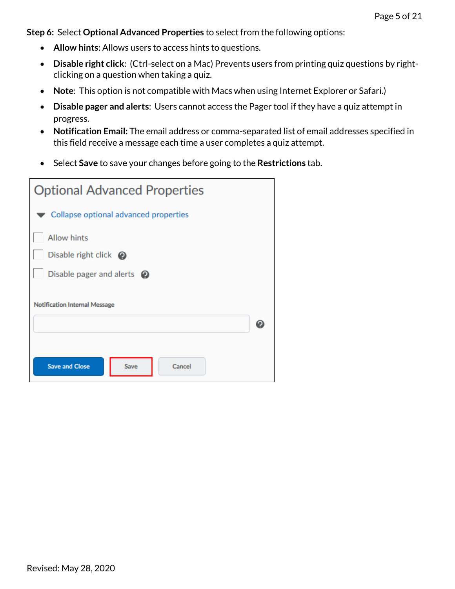**Step 6:** Select **Optional Advanced Properties** to select from the following options:

- **Allow hints**: Allows users to access hints to questions.
- **Disable right click**: (Ctrl-select on a Mac) Prevents users from printing quiz questions by rightclicking on a question when taking a quiz.
- **Note**: This option is not compatible with Macs when using Internet Explorer or Safari.)
- **Disable pager and alerts**: Users cannot access the Pager tool if they have a quiz attempt in progress.
- **Notification Email:** The email address or comma-separated list of email addresses specified in this field receive a message each time a user completes a quiz attempt.
- Select **Save** to save your changes before going to the **Restrictions** tab.

| <b>Optional Advanced Properties</b>     |  |
|-----------------------------------------|--|
| Collapse optional advanced properties   |  |
| <b>Allow hints</b>                      |  |
| Disable right click $\odot$             |  |
| Disable pager and alerts $\odot$        |  |
| <b>Notification Internal Message</b>    |  |
| <b>Save and Close</b><br>Save<br>Cancel |  |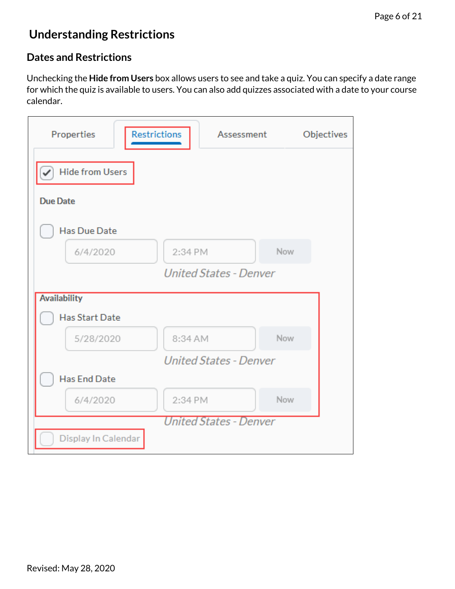## <span id="page-5-0"></span>**Understanding Restrictions**

### <span id="page-5-1"></span>**Dates and Restrictions**

Unchecking the **Hide from Users** box allows users to see and take a quiz. You can specify a date range for which the quiz is available to users. You can also add quizzes associated with a date to your course calendar.

<span id="page-5-2"></span>

| Properties             | <b>Restrictions</b>           | Assessment | Objectives |
|------------------------|-------------------------------|------------|------------|
| <b>Hide from Users</b> |                               |            |            |
| <b>Due Date</b>        |                               |            |            |
| <b>Has Due Date</b>    |                               |            |            |
| 6/4/2020               | 2:34 PM                       | Now        |            |
|                        | <b>United States - Denver</b> |            |            |
| <b>Availability</b>    |                               |            |            |
| <b>Has Start Date</b>  |                               |            |            |
| 5/28/2020              | 8:34 AM                       | Now        |            |
|                        | <b>United States - Denver</b> |            |            |
| <b>Has End Date</b>    |                               |            |            |
| 6/4/2020               | 2:34 PM                       | Now        |            |
|                        | United States - Denver        |            |            |
| Display In Calendar    |                               |            |            |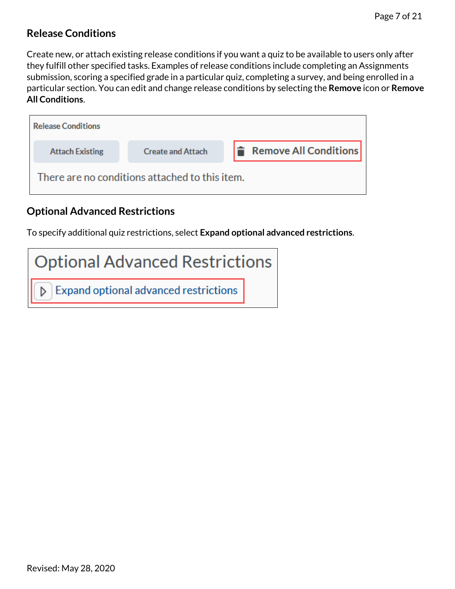### **Release Conditions**

Create new, or attach existing release conditions if you want a quiz to be available to users only after they fulfill other specified tasks. Examples of release conditions include completing an Assignments submission, scoring a specified grade in a particular quiz, completing a survey, and being enrolled in a particular section. You can edit and change release conditions by selecting the **Remove** icon or **Remove All Conditions**.

| <b>Release Conditions</b> |                                                |                              |
|---------------------------|------------------------------------------------|------------------------------|
| <b>Attach Existing</b>    | <b>Create and Attach</b>                       | <b>Remove All Conditions</b> |
|                           | There are no conditions attached to this item. |                              |

## <span id="page-6-0"></span>**Optional Advanced Restrictions**

To specify additional quiz restrictions, select **Expand optional advanced restrictions**.

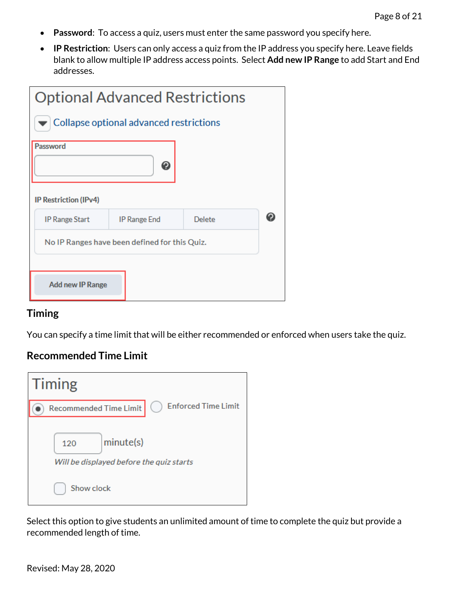- **Password**: To access a quiz, users must enter the same password you specify here.
- **IP Restriction**: Users can only access a quiz from the IP address you specify here. Leave fields blank to allow multiple IP address access points. Select **Add new IP Range** to add Start and End addresses.

| <b>Optional Advanced Restrictions</b>         |                     |        |  |
|-----------------------------------------------|---------------------|--------|--|
| Collapse optional advanced restrictions       |                     |        |  |
| Password                                      |                     |        |  |
|                                               | ℯ                   |        |  |
| <b>IP Restriction (IPv4)</b>                  |                     |        |  |
| <b>IP Range Start</b>                         | <b>IP Range End</b> | Delete |  |
| No IP Ranges have been defined for this Quiz. |                     |        |  |
|                                               |                     |        |  |
| <b>Add new IP Range</b>                       |                     |        |  |

#### <span id="page-7-0"></span>**Timing**

You can specify a time limit that will be either recommended or enforced when users take the quiz.

### <span id="page-7-1"></span>**Recommended Time Limit**

| <b>Timing</b>                                                |
|--------------------------------------------------------------|
| <b>Enforced Time Limit</b><br><b>Recommended Time Limit</b>  |
| minute(s)<br>120<br>Will be displayed before the quiz starts |
| Show clock                                                   |

Select this option to give students an unlimited amount of time to complete the quiz but provide a recommended length of time.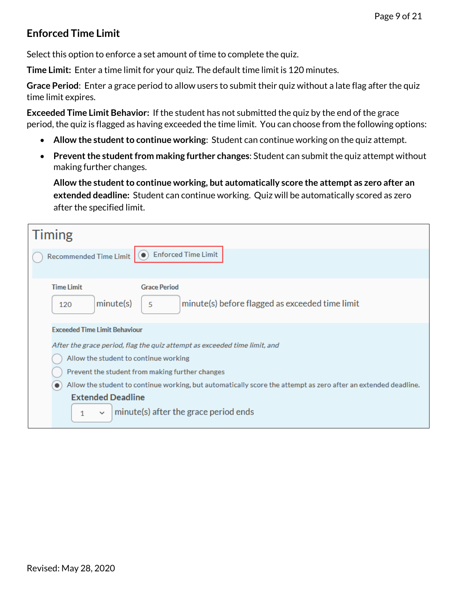## <span id="page-8-0"></span>**Enforced Time Limit**

Select this option to enforce a set amount of time to complete the quiz.

**Time Limit:** Enter a time limit for your quiz. The default time limit is 120 minutes.

**Grace Period**: Enter a grace period to allow users to submit their quiz without a late flag after the quiz time limit expires.

**Exceeded Time Limit Behavior:** If the student has not submitted the quiz by the end of the grace period, the quiz is flagged as having exceeded the time limit. You can choose from the following options:

- **Allow the student to continue working**: Student can continue working on the quiz attempt.
- **Prevent the student from making further changes**: Student can submit the quiz attempt without making further changes.

**Allow the student to continue working, but automatically score the attempt as zero after an extended deadline:** Student can continue working. Quiz will be automatically scored as zero after the specified limit.

<span id="page-8-1"></span>

| <b>Timing</b>                                                                                                                                                                                                 |
|---------------------------------------------------------------------------------------------------------------------------------------------------------------------------------------------------------------|
| <b>Enforced Time Limit</b><br><b>Recommended Time Limit</b>                                                                                                                                                   |
| <b>Time Limit</b><br><b>Grace Period</b><br>minute(s) before flagged as exceeded time limit<br>minute(s)<br>5<br>120                                                                                          |
| <b>Exceeded Time Limit Behaviour</b><br>After the grace period, flag the quiz attempt as exceeded time limit, and<br>Allow the student to continue working<br>Prevent the student from making further changes |
| Allow the student to continue working, but automatically score the attempt as zero after an extended deadline.<br><b>Extended Deadline</b><br>minute(s) after the grace period ends<br>1<br>$\checkmark$      |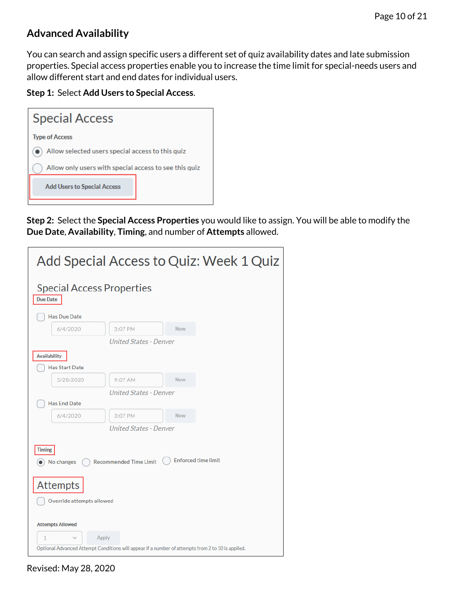## **Advanced Availability**

You can search and assign specific users a different set of quiz availability dates and late submission properties. Special access properties enable you to increase the time limit for special-needs users and allow different start and end dates for individual users.

**Step 1:** Select **Add Users to Special Access**.



**Step 2:** Select the **Special Access Properties** you would like to assign. You will be able to modify the **Due Date**, **Availability**, **Timing**, and number of **Attempts** allowed.

| Add Special Access to Quiz: Week 1 Quiz                                                           |                               |                            |  |
|---------------------------------------------------------------------------------------------------|-------------------------------|----------------------------|--|
| <b>Special Access Properties</b><br><b>Due Date</b>                                               |                               |                            |  |
| <b>Has Due Date</b>                                                                               |                               |                            |  |
| 6/4/2020                                                                                          | 3:07 PM                       | Now                        |  |
|                                                                                                   | <b>United States - Denver</b> |                            |  |
| <b>Availability</b>                                                                               |                               |                            |  |
| <b>Has Start Date</b>                                                                             |                               |                            |  |
| 5/28/2020                                                                                         | 9:07 AM                       | Now                        |  |
|                                                                                                   | <b>United States - Denver</b> |                            |  |
| <b>Has End Date</b>                                                                               |                               |                            |  |
| 6/4/2020                                                                                          | 3:07 PM                       | <b>Now</b>                 |  |
|                                                                                                   | <b>United States - Denver</b> |                            |  |
| <b>Timing</b>                                                                                     |                               |                            |  |
| No changes                                                                                        | <b>Recommended Time Limit</b> | <b>Enforced time limit</b> |  |
|                                                                                                   |                               |                            |  |
| <b>Attempts</b>                                                                                   |                               |                            |  |
| Override attempts allowed                                                                         |                               |                            |  |
|                                                                                                   |                               |                            |  |
| <b>Attempts Allowed</b>                                                                           |                               |                            |  |
| 1                                                                                                 | Apply                         |                            |  |
| Optional Advanced Attempt Conditions will appear if a number of attempts from 2 to 10 is applied. |                               |                            |  |
|                                                                                                   |                               |                            |  |

Revised: May 28, 2020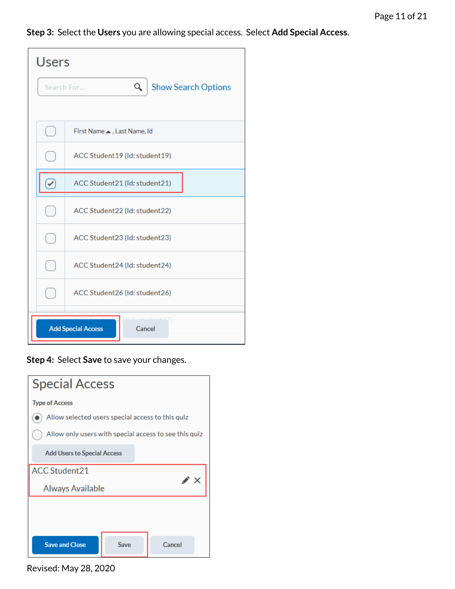**Step 3:** Select the **Users** you are allowing special access. Select **Add Special Access**.

| Users                               |                                               |  |  |
|-------------------------------------|-----------------------------------------------|--|--|
|                                     | Q<br><b>Show Search Options</b><br>Search For |  |  |
|                                     |                                               |  |  |
|                                     | First Name  , Last Name, Id                   |  |  |
|                                     | ACC Student19 (Id: student19)                 |  |  |
|                                     | ACC Student21 (Id: student21)                 |  |  |
|                                     | ACC Student22 (Id: student22)                 |  |  |
|                                     | ACC Student23 (Id: student23)                 |  |  |
|                                     | ACC Student24 (Id: student24)                 |  |  |
|                                     | ACC Student26 (Id: student26)                 |  |  |
| <b>Add Special Access</b><br>Cancel |                                               |  |  |

**Step 4:** Select **Save** to save your changes.



Revised: May 28, 2020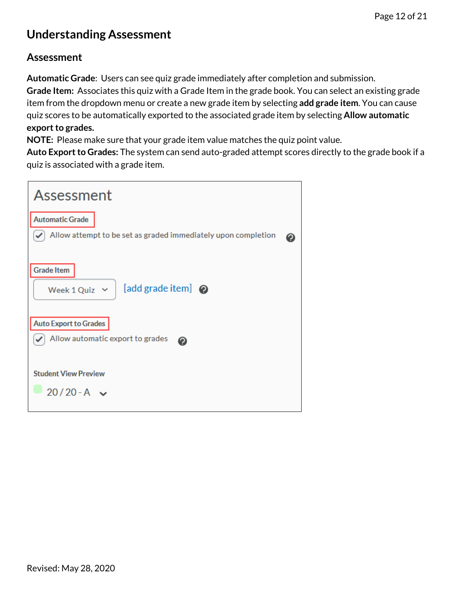## <span id="page-11-0"></span>**Understanding Assessment**

#### <span id="page-11-1"></span>**Assessment**

**Automatic Grade**: Users can see quiz grade immediately after completion and submission. **Grade Item:** Associates this quiz with a Grade Item in the grade book. You can select an existing grade item from the dropdown menu or create a new grade item by selecting **add grade item**. You can cause quiz scores to be automatically exported to the associated grade item by selecting **Allow automatic export to grades.**

**NOTE:** Please make sure that your grade item value matches the quiz point value.

**Auto Export to Grades:** The system can send auto-graded attempt scores directly to the grade book if a quiz is associated with a grade item.

<span id="page-11-2"></span>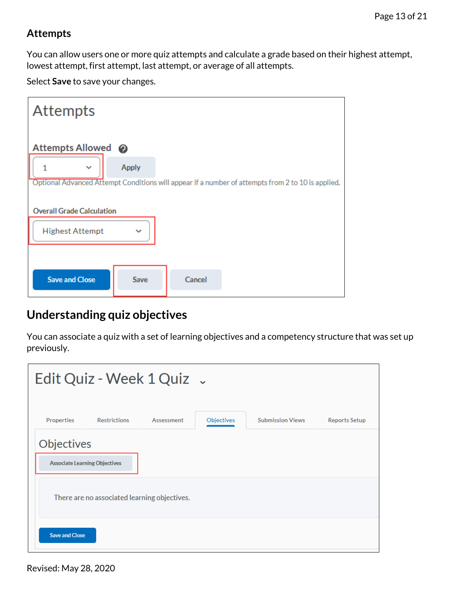### **Attempts**

You can allow users one or more quiz attempts and calculate a grade based on their highest attempt, lowest attempt, first attempt, last attempt, or average of all attempts.

Select **Save** to save your changes.

| <b>Attempts</b>                  |              |        |                                                                                                   |
|----------------------------------|--------------|--------|---------------------------------------------------------------------------------------------------|
| Attempts Allowed @               |              |        |                                                                                                   |
| $\checkmark$                     | <b>Apply</b> |        |                                                                                                   |
|                                  |              |        | Optional Advanced Attempt Conditions will appear if a number of attempts from 2 to 10 is applied. |
| <b>Overall Grade Calculation</b> |              |        |                                                                                                   |
| <b>Highest Attempt</b>           | $\checkmark$ |        |                                                                                                   |
|                                  |              |        |                                                                                                   |
| <b>Save and Close</b>            | Save         | Cancel |                                                                                                   |

## <span id="page-12-0"></span>**Understanding quiz objectives**

You can associate a quiz with a set of learning objectives and a competency structure that was set up previously.

| Edit Quiz - Week 1 Quiz .            |                                              |            |            |                         |                      |
|--------------------------------------|----------------------------------------------|------------|------------|-------------------------|----------------------|
| Properties                           | <b>Restrictions</b>                          | Assessment | Objectives | <b>Submission Views</b> | <b>Reports Setup</b> |
| Objectives                           |                                              |            |            |                         |                      |
| <b>Associate Learning Objectives</b> |                                              |            |            |                         |                      |
|                                      | There are no associated learning objectives. |            |            |                         |                      |
| <b>Save and Close</b>                |                                              |            |            |                         |                      |

Revised: May 28, 2020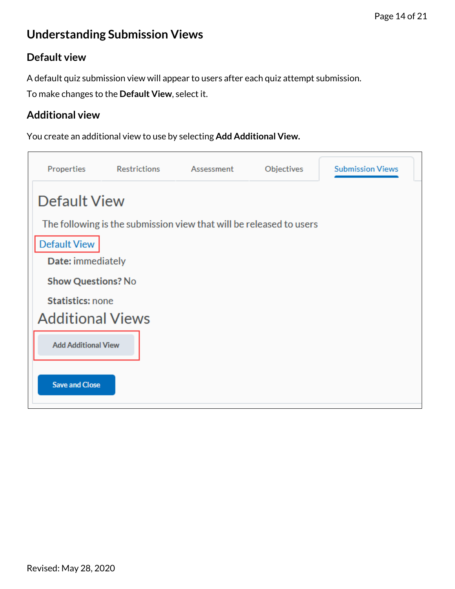## <span id="page-13-0"></span>**Understanding Submission Views**

### <span id="page-13-1"></span>**Default view**

A default quiz submission view will appear to users after each quiz attempt submission.

To make changes to the **Default View**, select it.

### <span id="page-13-2"></span>**Additional view**

You create an additional view to use by selecting **Add Additional View.**

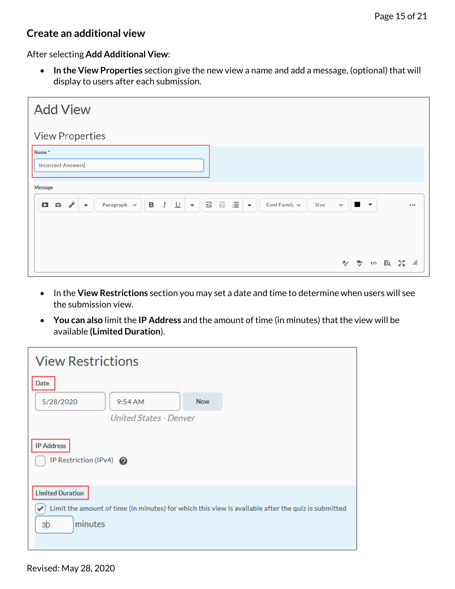#### <span id="page-14-0"></span>**Create an additional view**

After selecting **Add Additional View**:

• **In the View Properties** section give the new view a name and add a message, (optional) that will display to users after each submission.

| <b>Add View</b>                                                                                                                                                                                                              |              |              |  |  |
|------------------------------------------------------------------------------------------------------------------------------------------------------------------------------------------------------------------------------|--------------|--------------|--|--|
| <b>View Properties</b>                                                                                                                                                                                                       |              |              |  |  |
| Name*<br><b>Incorrect Answers</b><br>Message                                                                                                                                                                                 |              |              |  |  |
| 医三目<br>$I \underline{\cup}$<br>$\, {\bf B}$<br>$\hat{\mathbf{u}}$ $\sigma^{\rho}$<br>O<br>Paragraph $\sim$<br>Font Family $\sim$<br>$\overline{\phantom{a}}$<br>Size<br>$\overline{\phantom{a}}$<br>$\overline{\phantom{a}}$ | $\checkmark$ | $\mathbf{r}$ |  |  |
|                                                                                                                                                                                                                              |              |              |  |  |

- In the **View Restrictions** section you may set a date and time to determine when users will see the submission view.
- **You can also** limit the **IP Address** and the amount of time (in minutes) that the view will be available **(Limited Duration**).

| <b>View Restrictions</b>                                                                                                                                        |  |  |  |
|-----------------------------------------------------------------------------------------------------------------------------------------------------------------|--|--|--|
| Date<br><b>Now</b><br>5/28/2020<br>9:54 AM                                                                                                                      |  |  |  |
| <b>United States - Denver</b>                                                                                                                                   |  |  |  |
| <b>IP Address</b><br>IP Restriction (IPv4)                                                                                                                      |  |  |  |
| <b>Limited Duration</b><br>Limit the amount of time (in minutes) for which this view is available after the quiz is submitted<br>✓<br>minutes<br>3 <sub>b</sub> |  |  |  |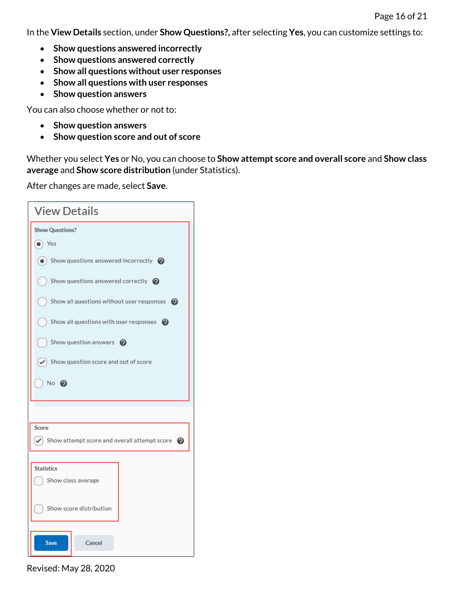In the **View Details** section, under **Show Questions?,** after selecting **Yes**, you can customize settings to:

- **Show questions answered incorrectly**
- **Show questions answered correctly**
- **Show all questions without user responses**
- **Show all questions with user responses**
- **Show question answers**

You can also choose whether or not to:

- **Show question answers**
- **Show question score and out of score**

Whether you select **Yes** or No, you can choose to **Show attempt score and overall score** and **Show class average** and **Show score distribution** (under Statistics).

After changes are made, select **Save**.

| <b>View Details</b>                     |                                                            |  |  |
|-----------------------------------------|------------------------------------------------------------|--|--|
| <b>Show Questions?</b>                  |                                                            |  |  |
| $\bullet$ ) Yes                         |                                                            |  |  |
|                                         | $\odot$ Show questions answered incorrectly $\odot$        |  |  |
|                                         | Show questions answered correctly $\bigcirc$               |  |  |
|                                         | Show all questions without user responses $\bullet$        |  |  |
|                                         | Show all questions with user responses $\bullet$           |  |  |
|                                         | Show question answers $\bullet$                            |  |  |
|                                         | $\blacktriangleright$ Show question score and out of score |  |  |
| No @                                    |                                                            |  |  |
|                                         |                                                            |  |  |
| <b>Score</b>                            |                                                            |  |  |
| ✓                                       | Show attempt score and overall attempt score @             |  |  |
|                                         |                                                            |  |  |
| <b>Statistics</b><br>Show class average |                                                            |  |  |
|                                         |                                                            |  |  |
| Show score distribution                 |                                                            |  |  |
|                                         |                                                            |  |  |
| <b>Save</b>                             | Cancel                                                     |  |  |

Revised: May 28, 2020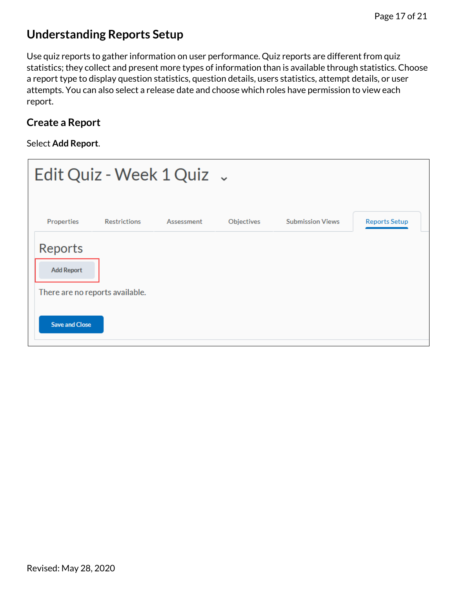## <span id="page-16-0"></span>**Understanding Reports Setup**

Use quiz reports to gather information on user performance. Quiz reports are different from quiz statistics; they collect and present more types of information than is available through statistics. Choose a report type to display question statistics, question details, users statistics, attempt details, or user attempts. You can also select a release date and choose which roles have permission to view each report.

### <span id="page-16-1"></span>**Create a Report**

#### Select **Add Report**.

|                                                                 |                     | Edit Quiz - Week $1$ Quiz $\sim$ |            |                         |               |
|-----------------------------------------------------------------|---------------------|----------------------------------|------------|-------------------------|---------------|
| Properties                                                      | <b>Restrictions</b> | Assessment                       | Objectives | <b>Submission Views</b> | Reports Setup |
| Reports<br><b>Add Report</b><br>There are no reports available. |                     |                                  |            |                         |               |
| <b>Save and Close</b>                                           |                     |                                  |            |                         |               |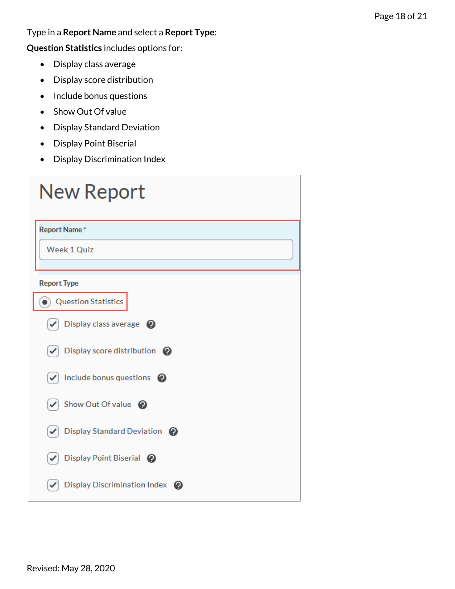Type in a **Report Name** and select a **Report Type**:

**Question Statistics** includes options for:

- Display class average
- Display score distribution
- Include bonus questions
- Show Out Of value
- Display Standard Deviation
- Display Point Biserial
- Display Discrimination Index

| <b>New Report</b>                            |
|----------------------------------------------|
| <b>Report Name*</b>                          |
| <b>Week 1 Quiz</b>                           |
| <b>Report Type</b>                           |
| <b>Question Statistics</b>                   |
| Display class average @<br>✓                 |
| Display score distribution @<br>✓            |
| Include bonus questions @<br>✓               |
| Show Out Of value @<br>$\checkmark$          |
| Display Standard Deviation @<br>$\checkmark$ |
| Display Point Biserial @                     |
| Display Discrimination Index @               |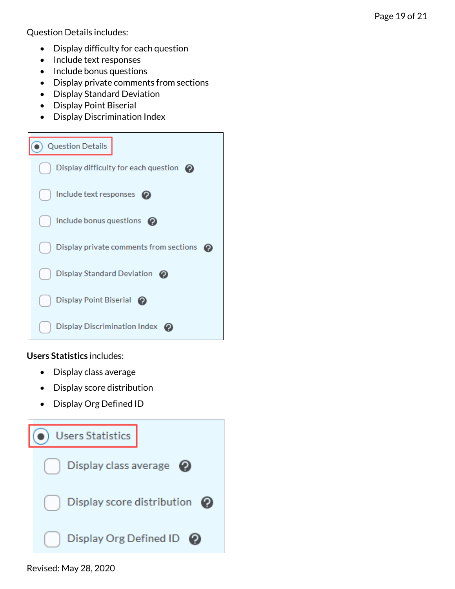Question Details includes:

- Display difficulty for each question
- Include text responses
- Include bonus questions
- Display private comments from sections
- Display Standard Deviation
- Display Point Biserial
- Display Discrimination Index



**Users Statistics** includes:

- Display class average
- Display score distribution
- Display Org Defined ID



Revised: May 28, 2020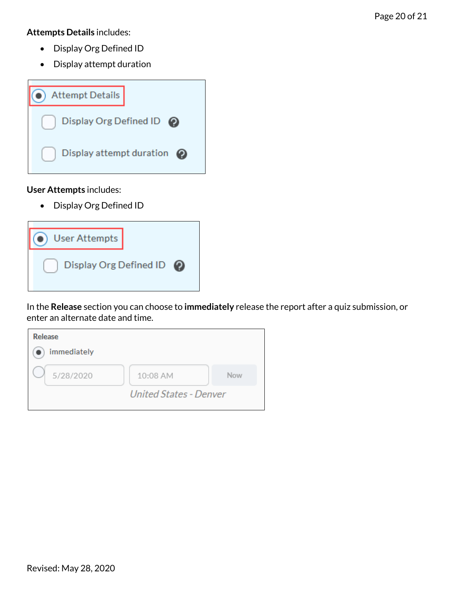**Attempts Details** includes:

- Display Org Defined ID
- Display attempt duration



**User Attempts** includes:

• Display Org Defined ID

| <b>User Attempts</b>     |  |
|--------------------------|--|
| Display Org Defined ID @ |  |

In the **Release** section you can choose to **immediately** release the report after a quiz submission, or enter an alternate date and time.

| <b>Release</b> |                               |     |
|----------------|-------------------------------|-----|
| immediately    |                               |     |
| 5/28/2020      | 10:08 AM                      | Now |
|                | <b>United States - Denver</b> |     |